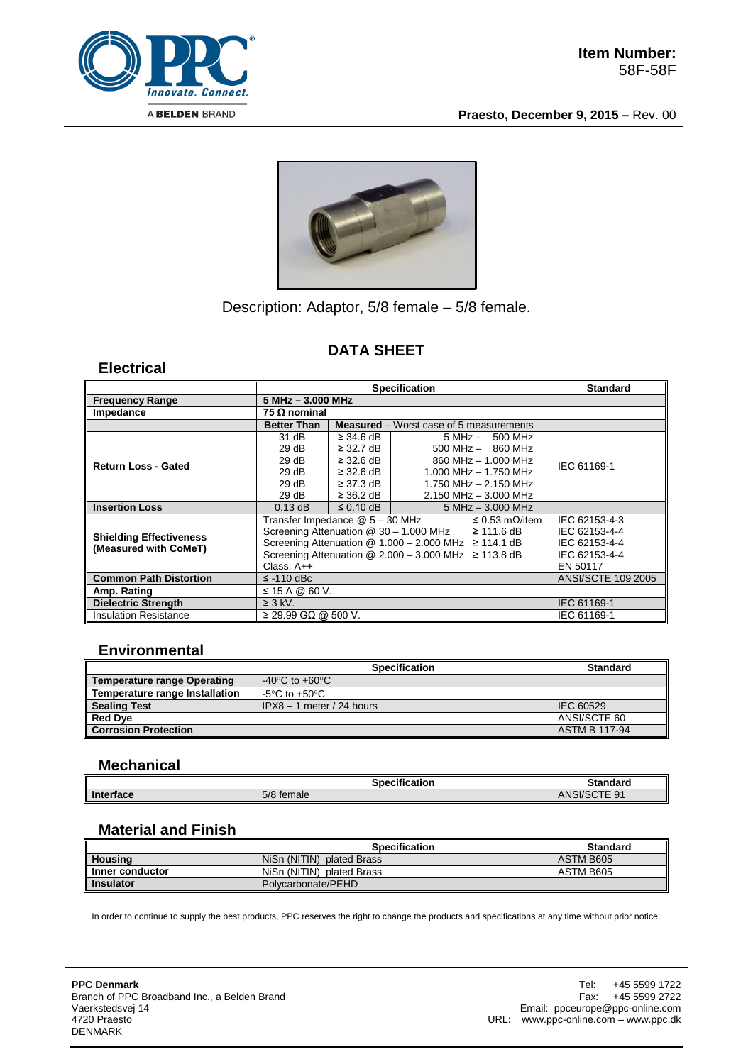

**Praesto, December 9, 2015 –** Rev. 00



# Description: Adaptor, 5/8 female – 5/8 female.

### **DATA SHEET**

### **Electrical**

|                                                         | <b>Specification</b>                                                     |                |                                                | Standard                  |
|---------------------------------------------------------|--------------------------------------------------------------------------|----------------|------------------------------------------------|---------------------------|
| <b>Frequency Range</b>                                  | $5 MHz - 3.000 MHz$                                                      |                |                                                |                           |
| Impedance                                               | 75 Ω nominal                                                             |                |                                                |                           |
|                                                         | <b>Better Than</b>                                                       |                | <b>Measured</b> – Worst case of 5 measurements |                           |
| <b>Return Loss - Gated</b>                              | 31 dB                                                                    | $\geq$ 34.6 dB | $5 MHz - 500 MHz$                              | IEC 61169-1               |
|                                                         | 29 dB                                                                    | $\geq$ 32.7 dB | $500 \text{ MHz} - 860 \text{ MHz}$            |                           |
|                                                         | 29 dB                                                                    | $\geq$ 32.6 dB | 860 MHz - 1,000 MHz                            |                           |
|                                                         | 29 dB                                                                    | $\geq$ 32.6 dB | $1.000$ MHz $- 1.750$ MHz                      |                           |
|                                                         | 29 dB                                                                    | $\geq$ 37.3 dB | 1.750 MHz $-$ 2.150 MHz                        |                           |
|                                                         | 29 dB                                                                    | $\geq$ 36.2 dB | $2.150$ MHz $- 3.000$ MHz                      |                           |
| <b>Insertion Loss</b>                                   | $0.13$ dB                                                                | $\leq$ 0.10 dB | $5 MHz - 3.000 MHz$                            |                           |
| <b>Shielding Effectiveness</b><br>(Measured with CoMeT) | Transfer Impedance @ 5 - 30 MHz<br>$\leq$ 0.53 m $\Omega$ /item          |                |                                                | IEC 62153-4-3             |
|                                                         | Screening Attenuation $@$ 30 - 1.000 MHz $\geq$ 111.6 dB                 | IEC 62153-4-4  |                                                |                           |
|                                                         | Screening Attenuation $@ 1.000 - 2.000 \text{ MHz} \ge 114.1 \text{ dB}$ | IEC 62153-4-4  |                                                |                           |
|                                                         | Screening Attenuation $@$ 2.000 - 3.000 MHz $\geq$ 113.8 dB              |                |                                                | IEC 62153-4-4             |
|                                                         | Class: $A++$                                                             | EN 50117       |                                                |                           |
| <b>Common Path Distortion</b>                           | $\le$ -110 dBc                                                           |                |                                                | <b>ANSI/SCTE 109 2005</b> |
| Amp. Rating                                             | $\leq$ 15 A @ 60 V.                                                      |                |                                                |                           |
| <b>Dielectric Strength</b>                              | $\geq$ 3 kV.                                                             |                |                                                | IEC 61169-1               |
| <b>Insulation Resistance</b>                            | $\geq$ 29.99 GΩ @ 500 V.                                                 |                |                                                | IEC 61169-1               |

#### **Environmental**

|                                    | <b>Specification</b>        | <b>Standard</b>      |
|------------------------------------|-----------------------------|----------------------|
| <b>Temperature range Operating</b> | -40°C to +60°C              |                      |
| Temperature range Installation     | -5°C to +50°C               |                      |
| <b>Sealing Test</b>                | $IPX8 - 1$ meter / 24 hours | IEC 60529            |
| <b>Red Dve</b>                     |                             | ANSI/SCTE 60         |
| <b>Corrosion Protection</b>        |                             | <b>ASTM B 117-94</b> |

#### **Mechanical**

|           | <br><b>Specification</b> | Standard                                |
|-----------|--------------------------|-----------------------------------------|
| Interface | $-10-1$<br>temale<br>578 | $-$<br>9 <sup>′</sup><br>ANSI/S<br>OUTE |

# **Material and Finish**

|                  | <b>Specification</b>      | <b>Standard</b> |
|------------------|---------------------------|-----------------|
| <b>Housing</b>   | NiSn (NITIN) plated Brass | ASTM B605       |
| Inner conductor  | NiSn (NITIN) plated Brass | ASTM B605       |
| <b>Insulator</b> | Polycarbonate/PEHD        |                 |

In order to continue to supply the best products, PPC reserves the right to change the products and specifications at any time without prior notice.